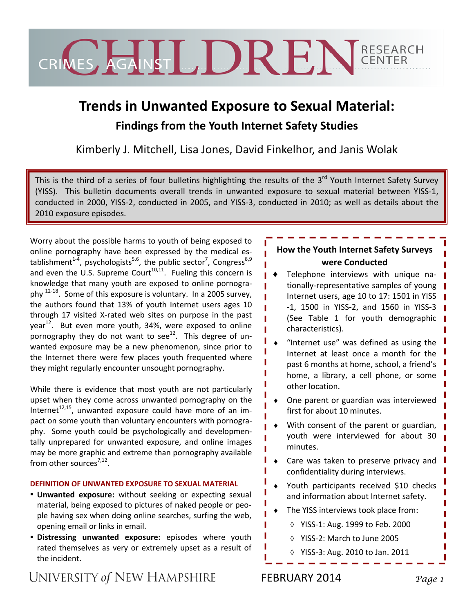

# **Trends in Unwanted Exposure to Sexual Material:**

# **Findings from the Youth Internet Safety Studies**

Kimberly J. Mitchell, Lisa Jones, David Finkelhor, and Janis Wolak

This is the third of a series of four bulletins highlighting the results of the  $3^{rd}$  Youth Internet Safety Survey (YISS). This bulletin documents overall trends in unwanted exposure to sexual material between YISS‐1, conducted in 2000, YISS‐2, conducted in 2005, and YISS‐3, conducted in 2010; as well as details about the 2010 exposure episodes.

Worry about the possible harms to youth of being exposed to online pornography have been expressed by the medical es‐ tablishment<sup>1-4</sup>, psychologists<sup>5,6</sup>, the public sector<sup>7</sup>, Congress<sup>8,9</sup> and even the U.S. Supreme Court<sup>10,11</sup>. Fueling this concern is knowledge that many youth are exposed to online pornogra‐ phy  $12-18$ . Some of this exposure is voluntary. In a 2005 survey, the authors found that 13% of youth Internet users ages 10 through 17 visited X‐rated web sites on purpose in the past year<sup>12</sup>. But even more youth, 34%, were exposed to online pornography they do not want to see<sup>12</sup>. This degree of unwanted exposure may be a new phenomenon, since prior to the Internet there were few places youth frequented where they might regularly encounter unsought pornography.

While there is evidence that most youth are not particularly upset when they come across unwanted pornography on the Internet $t^{12,15}$ , unwanted exposure could have more of an impact on some youth than voluntary encounters with pornography. Some youth could be psychologically and developmentally unprepared for unwanted exposure, and online images may be more graphic and extreme than pornography available from other sources<sup>7,12</sup>.

#### **DEFINITION OF UNWANTED EXPOSURE TO SEXUAL MATERIAL**

- **Unwanted exposure:** without seeking or expecting sexual material, being exposed to pictures of naked people or peo‐ ple having sex when doing online searches, surfing the web, opening email or links in email.
- **Distressing unwanted exposure:** episodes where youth rated themselves as very or extremely upset as a result of the incident.

## **How the Youth Internet Safety Surveys were Conducted**

- Telephone interviews with unique nationally‐representative samples of young Internet users, age 10 to 17: 1501 in YISS ‐1, 1500 in YISS‐2, and 1560 in YISS‐3 (See Table 1 for youth demographic characteristics).
- "Internet use" was defined as using the Internet at least once a month for the past 6 months at home, school, a friend's home, a library, a cell phone, or some other location.
- One parent or guardian was interviewed first for about 10 minutes.
- With consent of the parent or guardian, youth were interviewed for about 30 minutes.
- ♦ Care was taken to preserve privacy and confidentiality during interviews.
- Youth participants received \$10 checks and information about Internet safety.
- The YISS interviews took place from:
	- ◊ YISS‐1: Aug. 1999 to Feb. 2000
	- ◊ YISS‐2: March to June 2005
	- ◊ YISS‐3: Aug. 2010 to Jan. 2011

# UNIVERSITY of NEW HAMPSHIRE

# FEBRUARY 2014 *Page 1*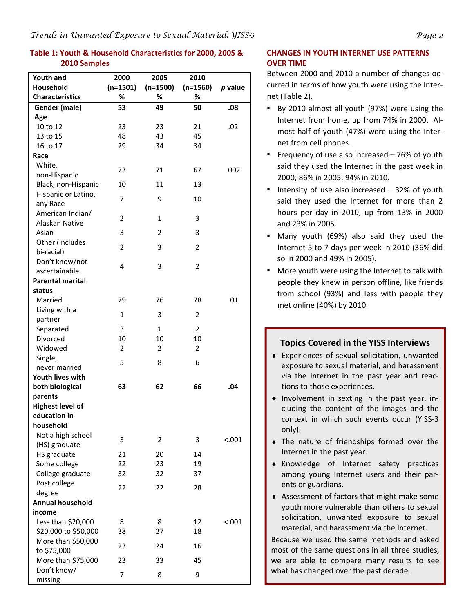#### **Table 1: Youth & Household Characteristics for 2000, 2005 & 2010 Samples**

| <b>Youth and</b>                  | 2000           | 2005           | 2010           |           |
|-----------------------------------|----------------|----------------|----------------|-----------|
| <b>Household</b>                  | $(n=1501)$     | $(n=1500)$     | $(n=1560)$     | $p$ value |
| <b>Characteristics</b>            | %              | %              | ℅              |           |
| Gender (male)                     | 53             | 49             | 50             | .08       |
| Age                               |                |                |                |           |
| 10 to 12                          | 23             | 23             | 21             | .02       |
| 13 to 15                          | 48             | 43             | 45             |           |
| 16 to 17                          | 29             | 34             | 34             |           |
| Race                              |                |                |                |           |
| White,                            | 73             | 71             | 67             | .002      |
| non-Hispanic                      |                |                |                |           |
| Black, non-Hispanic               | 10             | 11             | 13             |           |
| Hispanic or Latino,               | 7              | 9              | 10             |           |
| any Race                          |                |                |                |           |
| American Indian/                  | 2              | $\mathbf{1}$   | 3              |           |
| Alaskan Native                    |                |                |                |           |
| Asian                             | 3              | $\overline{2}$ | 3              |           |
| Other (includes                   | 2              | 3              | 2              |           |
| bi-racial)<br>Don't know/not      |                |                |                |           |
| ascertainable                     | 4              | 3              | $\overline{2}$ |           |
| <b>Parental marital</b>           |                |                |                |           |
| status                            |                |                |                |           |
| Married                           | 79             | 76             | 78             | .01       |
| Living with a                     |                |                |                |           |
| partner                           | $\mathbf{1}$   | 3              | $\overline{2}$ |           |
| Separated                         | 3              | $\mathbf{1}$   | $\overline{2}$ |           |
| Divorced                          | 10             | 10             | 10             |           |
| Widowed                           | $\overline{2}$ | $\overline{2}$ | $\overline{2}$ |           |
| Single,                           |                |                |                |           |
| never married                     | 5              | 8              | 6              |           |
| <b>Youth lives with</b>           |                |                |                |           |
| both biological                   | 63             | 62             | 66             | .04       |
| parents                           |                |                |                |           |
| <b>Highest level of</b>           |                |                |                |           |
| education in                      |                |                |                |           |
| household                         |                |                |                |           |
| Not a high school                 | 3              | 2              | 3              | < .001    |
| (HS) graduate                     |                |                |                |           |
| HS graduate                       | 21             | 20             | 14             |           |
| Some college                      | 22             | 23             | 19             |           |
| College graduate                  | 32             | 32             | 37             |           |
| Post college                      | 22             | 22             | 28             |           |
| degree<br><b>Annual household</b> |                |                |                |           |
| income                            |                |                |                |           |
| Less than \$20,000                | 8              | 8              | 12             | < 0.001   |
| \$20,000 to \$50,000              | 38             | 27             | 18             |           |
| More than \$50,000                |                |                |                |           |
| to \$75,000                       | 23             | 24             | 16             |           |
| More than \$75,000                | 23             | 33             | 45             |           |
| Don't know/                       |                |                |                |           |
| missing                           | 7              | 8              | 9              |           |

#### **CHANGES IN YOUTH INTERNET USE PATTERNS OVER TIME**

Between 2000 and 2010 a number of changes oc‐ curred in terms of how youth were using the Inter‐ net (Table 2).

- By 2010 almost all youth (97%) were using the Internet from home, up from 74% in 2000. Al‐ most half of youth (47%) were using the Inter‐ net from cell phones.
- **•** Frequency of use also increased 76% of youth said they used the Internet in the past week in 2000; 86% in 2005; 94% in 2010.
- **.** Intensity of use also increased  $-32\%$  of youth said they used the Internet for more than 2 hours per day in 2010, up from 13% in 2000 and 23% in 2005.
- Many youth (69%) also said they used the Internet 5 to 7 days per week in 2010 (36% did so in 2000 and 49% in 2005).
- More youth were using the Internet to talk with people they knew in person offline, like friends from school (93%) and less with people they met online (40%) by 2010.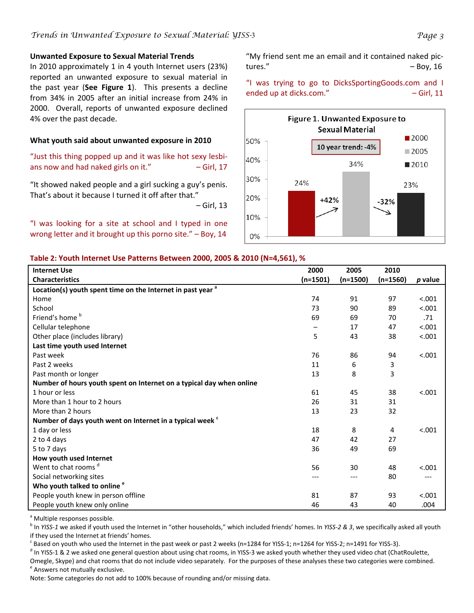#### **Unwanted Exposure to Sexual Material Trends**

In 2010 approximately 1 in 4 youth Internet users (23%) reported an unwanted exposure to sexual material in the past year (**See Figure 1**). This presents a decline from 34% in 2005 after an initial increase from 24% in 2000. Overall, reports of unwanted exposure declined 4% over the past decade.

#### **What youth said about unwanted exposure in 2010**

"Just this thing popped up and it was like hot sexy lesbi‐ ans now and had naked girls on it."  $-$  Girl, 17

"It showed naked people and a girl sucking a guy's penis. That's about it because I turned it off after that."

– Girl, 13

"I was looking for a site at school and I typed in one wrong letter and it brought up this porno site." – Boy, 14

"My friend sent me an email and it contained naked pic‐ tures."  $-$  Boy, 16

"I was trying to go to DicksSportingGoods.com and I ended up at dicks.com." 
and  $-$  Girl, 11



#### **Table 2: Youth Internet Use Patterns Between 2000, 2005 & 2010 (N=4,561), %**

| <b>Internet Use</b>                                                    | 2000       | 2005       | 2010       |         |
|------------------------------------------------------------------------|------------|------------|------------|---------|
| <b>Characteristics</b>                                                 | $(n=1501)$ | $(n=1500)$ | $(n=1560)$ | p value |
| Location(s) youth spent time on the Internet in past year <sup>a</sup> |            |            |            |         |
| Home                                                                   | 74         | 91         | 97         | < .001  |
| School                                                                 | 73         | 90         | 89         | < .001  |
| Friend's home <sup>b</sup>                                             | 69         | 69         | 70         | .71     |
| Cellular telephone                                                     |            | 17         | 47         | < .001  |
| Other place (includes library)                                         | 5          | 43         | 38         | < .001  |
| Last time youth used Internet                                          |            |            |            |         |
| Past week                                                              | 76         | 86         | 94         | < .001  |
| Past 2 weeks                                                           | 11         | 6          | 3          |         |
| Past month or longer                                                   | 13         | 8          | 3          |         |
| Number of hours youth spent on Internet on a typical day when online   |            |            |            |         |
| 1 hour or less                                                         | 61         | 45         | 38         | < .001  |
| More than 1 hour to 2 hours                                            | 26         | 31         | 31         |         |
| More than 2 hours                                                      | 13         | 23         | 32         |         |
| Number of days youth went on Internet in a typical week <sup>c</sup>   |            |            |            |         |
| 1 day or less                                                          | 18         | 8          | 4          | < .001  |
| 2 to 4 days                                                            | 47         | 42         | 27         |         |
| 5 to 7 days                                                            | 36         | 49         | 69         |         |
| How youth used Internet                                                |            |            |            |         |
| Went to chat rooms <sup>d</sup>                                        | 56         | 30         | 48         | < .001  |
| Social networking sites                                                | ---        | ---        | 80         | ---     |
| Who youth talked to online <sup>e</sup>                                |            |            |            |         |
| People youth knew in person offline                                    | 81         | 87         | 93         | < .001  |
| People youth knew only online                                          | 46         | 43         | 40         | .004    |

<sup>a</sup> Multiple responses possible.

<sup>b</sup> In *YISS‐1* we asked if youth used the Internet in "other households," which included friends' homes. In *YISS‐2 & 3*, we specifically asked all youth if they used the Internet at friends' homes.

 $c$  Based on youth who used the Internet in the past week or past 2 weeks (n=1284 for YISS-1; n=1264 for YISS-2; n=1491 for YISS-3).

<sup>d</sup> In YISS-1 & 2 we asked one general question about using chat rooms, in YISS-3 we asked youth whether they used video chat (ChatRoulette,

Omegle, Skype) and chat rooms that do not include video separately. For the purposes of these analyses these two categories were combined. <sup>e</sup> Answers not mutually exclusive.

Note: Some categories do not add to 100% because of rounding and/or missing data.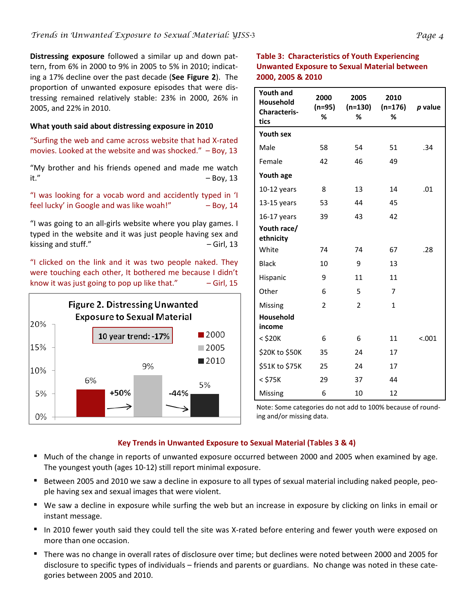**Distressing exposure** followed a similar up and down pat‐ tern, from 6% in 2000 to 9% in 2005 to 5% in 2010; indicat‐ ing a 17% decline over the past decade (**See Figure 2**). The proportion of unwanted exposure episodes that were dis‐ tressing remained relatively stable: 23% in 2000, 26% in 2005, and 22% in 2010.

#### **What youth said about distressing exposure in 2010**

"Surfing the web and came across website that had X‐rated movies. Looked at the website and was shocked."  $-$  Boy, 13

"My brother and his friends opened and made me watch it."  $-$  Boy, 13

"I was looking for a vocab word and accidently typed in 'I feel lucky' in Google and was like woah!" – Boy, 14

"I was going to an all‐girls website where you play games. I typed in the website and it was just people having sex and kissing and stuff."  $-$  Girl, 13

"I clicked on the link and it was two people naked. They were touching each other, It bothered me because I didn't know it was just going to pop up like that."  $-$  Girl, 15



### **Table 3: Characteristics of Youth Experiencing Unwanted Exposure to Sexual Material between 2000, 2005 & 2010**

| <b>Youth and</b><br>Household<br><b>Characteris-</b><br>tics | 2000<br>$(n=95)$<br>% | 2005<br>$(n=130)$<br>% | 2010<br>$(n=176)$<br>% | p value |
|--------------------------------------------------------------|-----------------------|------------------------|------------------------|---------|
| <b>Youth sex</b>                                             |                       |                        |                        |         |
| Male                                                         | 58                    | 54                     | 51                     | .34     |
| Female                                                       | 42                    | 46                     | 49                     |         |
| Youth age                                                    |                       |                        |                        |         |
| $10-12$ years                                                | 8                     | 13                     | 14                     | .01     |
| $13-15$ years                                                | 53                    | 44                     | 45                     |         |
| $16-17$ years                                                | 39                    | 43                     | 42                     |         |
| Youth race/<br>ethnicity                                     |                       |                        |                        |         |
| White                                                        | 74                    | 74                     | 67                     | .28     |
| <b>Black</b>                                                 | 10                    | 9                      | 13                     |         |
| Hispanic                                                     | 9                     | 11                     | 11                     |         |
| Other                                                        | 6                     | 5                      | 7                      |         |
| Missing                                                      | $\overline{2}$        | $\overline{2}$         | $\mathbf{1}$           |         |
| <b>Household</b>                                             |                       |                        |                        |         |
| income                                                       |                       |                        |                        |         |
| $<$ \$20 $K$                                                 | 6                     | 6                      | 11                     | < .001  |
| \$20K to \$50K                                               | 35                    | 24                     | 17                     |         |
| \$51K to \$75K                                               | 25                    | 24                     | 17                     |         |
| $<$ \$75 $K$                                                 | 29                    | 37                     | 44                     |         |
| Missing                                                      | 6                     | 10                     | 12                     |         |

Note: Some categories do not add to 100% because of round‐ ing and/or missing data.

#### **Key Trends in Unwanted Exposure to Sexual Material (Tables 3 & 4)**

- Much of the change in reports of unwanted exposure occurred between 2000 and 2005 when examined by age. The youngest youth (ages 10‐12) still report minimal exposure.
- Between 2005 and 2010 we saw a decline in exposure to all types of sexual material including naked people, people having sex and sexual images that were violent.
- We saw a decline in exposure while surfing the web but an increase in exposure by clicking on links in email or instant message.
- In 2010 fewer youth said they could tell the site was X-rated before entering and fewer youth were exposed on more than one occasion.
- There was no change in overall rates of disclosure over time; but declines were noted between 2000 and 2005 for disclosure to specific types of individuals – friends and parents or guardians. No change was noted in these cate‐ gories between 2005 and 2010.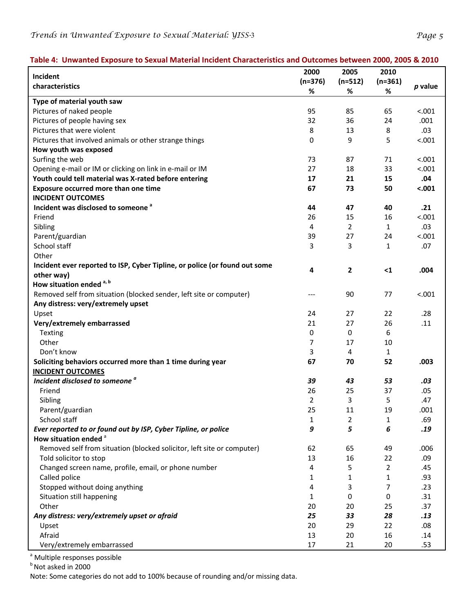#### Table 4: Unwanted Exposure to Sexual Material Incident Characteristics and Outcomes between 2000, 2005 & 2010

|                                                                            | 2000        | 2005           | 2010           |         |
|----------------------------------------------------------------------------|-------------|----------------|----------------|---------|
| Incident<br>characteristics                                                | $(n=376)$   | $(n=512)$      | $(n=361)$      | p value |
|                                                                            | %           | $\%$           | %              |         |
| Type of material youth saw                                                 |             |                |                |         |
| Pictures of naked people                                                   | 95          | 85             | 65             | < .001  |
| Pictures of people having sex                                              | 32          | 36             | 24             | .001    |
| Pictures that were violent                                                 | 8           | 13             | 8              | .03     |
| Pictures that involved animals or other strange things                     | $\mathbf 0$ | 9              | 5              | < .001  |
| How youth was exposed                                                      |             |                |                |         |
| Surfing the web                                                            | 73          | 87             | 71             | < .001  |
| Opening e-mail or IM or clicking on link in e-mail or IM                   | 27          | 18             | 33             | < .001  |
| Youth could tell material was X-rated before entering                      | 17          | 21             | 15             | .04     |
| Exposure occurred more than one time                                       | 67          | 73             | 50             | < .001  |
| <b>INCIDENT OUTCOMES</b>                                                   |             |                |                |         |
| Incident was disclosed to someone <sup>a</sup>                             | 44          | 47             | 40             | .21     |
| Friend                                                                     | 26          | 15             | 16             | < .001  |
| Sibling                                                                    | 4           | $\overline{2}$ | $\mathbf{1}$   | .03     |
| Parent/guardian                                                            | 39          | 27             | 24             | < .001  |
| School staff                                                               | 3           | 3              | $\mathbf{1}$   | .07     |
| Other                                                                      |             |                |                |         |
| Incident ever reported to ISP, Cyber Tipline, or police (or found out some |             |                |                |         |
| other way)                                                                 | 4           | 2              | $\leq 1$       | .004    |
| How situation ended <sup>a, b</sup>                                        |             |                |                |         |
| Removed self from situation (blocked sender, left site or computer)        |             | 90             | 77             | < .001  |
| Any distress: very/extremely upset                                         |             |                |                |         |
| Upset                                                                      | 24          | 27             | 22             | .28     |
| Very/extremely embarrassed                                                 | 21          | 27             | 26             | .11     |
| Texting                                                                    | 0           | $\mathbf 0$    | 6              |         |
| Other                                                                      | 7           | 17             | 10             |         |
| Don't know                                                                 | 3           | 4              | $\mathbf{1}$   |         |
| Soliciting behaviors occurred more than 1 time during year                 | 67          | 70             | 52             | .003    |
| <b>INCIDENT OUTCOMES</b>                                                   |             |                |                |         |
| Incident disclosed to someone <sup>a</sup>                                 | 39          | 43             | 53             | .03     |
| Friend                                                                     | 26          | 25             | 37             | .05     |
| Sibling                                                                    | 2           | 3              | 5              | .47     |
| Parent/guardian                                                            | 25          | 11             | 19             | .001    |
| School staff                                                               | 1           | 2              | $\mathbf{1}$   | .69     |
| Ever reported to or found out by ISP, Cyber Tipline, or police             | 9           | 5              | 6              | .19     |
| How situation ended <sup>a</sup>                                           |             |                |                |         |
| Removed self from situation (blocked solicitor, left site or computer)     | 62          | 65             | 49             | .006    |
| Told solicitor to stop                                                     | 13          | 16             | 22             | .09     |
| Changed screen name, profile, email, or phone number                       | 4           | 5              | $\overline{2}$ | .45     |
| Called police                                                              | 1           | 1              | $\mathbf{1}$   | .93     |
| Stopped without doing anything                                             | 4           | 3              | 7              | .23     |
| Situation still happening                                                  | 1           | 0              | 0              | .31     |
| Other                                                                      | 20          | 20             | 25             | .37     |
| Any distress: very/extremely upset or afraid                               | 25          | 33             | 28             | .13     |
| Upset                                                                      | 20          | 29             | 22             | .08     |
| Afraid                                                                     | 13          | 20             | 16             | .14     |
| Very/extremely embarrassed                                                 | 17          | 21             | 20             | .53     |
|                                                                            |             |                |                |         |

<sup>a</sup> Multiple responses possible

 $<sup>b</sup>$  Not asked in 2000</sup>

Note: Some categories do not add to 100% because of rounding and/or missing data.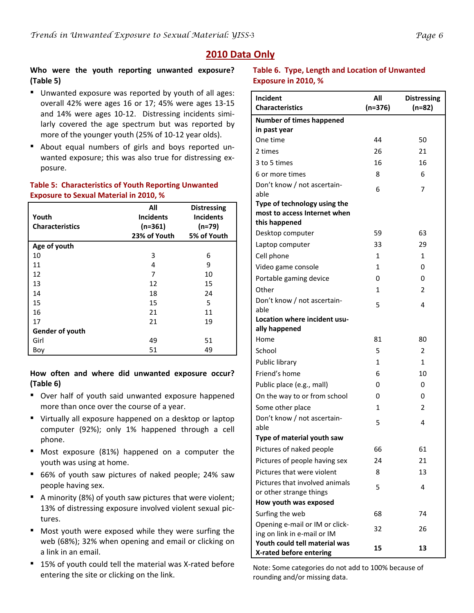# **2010 Data Only**

#### **Who were the youth reporting unwanted exposure? (Table 5)**

- Unwanted exposure was reported by youth of all ages: overall 42% were ages 16 or 17; 45% were ages 13‐15 and 14% were ages 10-12. Distressing incidents similarly covered the age spectrum but was reported by more of the younger youth (25% of 10‐12 year olds).
- About equal numbers of girls and boys reported unwanted exposure; this was also true for distressing exposure.

#### **Table 5: Characteristics of Youth Reporting Unwanted Exposure to Sexual Material in 2010, %**

| Youth                  | All<br><b>Incidents</b> | <b>Distressing</b><br><b>Incidents</b> |
|------------------------|-------------------------|----------------------------------------|
| <b>Characteristics</b> | $(n=361)$               | $(n=79)$                               |
|                        | 23% of Youth            | 5% of Youth                            |
| Age of youth           |                         |                                        |
| 10                     | 3                       | 6                                      |
| 11                     | 4                       | 9                                      |
| 12                     | 7                       | 10                                     |
| 13                     | 12                      | 15                                     |
| 14                     | 18                      | 24                                     |
| 15                     | 15                      | 5                                      |
| 16                     | 21                      | 11                                     |
| 17                     | 21                      | 19                                     |
| Gender of youth        |                         |                                        |
| Girl                   | 49                      | 51                                     |
| Boy                    | 51                      | 49                                     |

**How often and where did unwanted exposure occur? (Table 6)**

- Over half of youth said unwanted exposure happened more than once over the course of a year.
- Virtually all exposure happened on a desktop or laptop computer (92%); only 1% happened through a cell phone.
- Most exposure (81%) happened on a computer the youth was using at home.
- 66% of youth saw pictures of naked people; 24% saw people having sex.
- A minority (8%) of youth saw pictures that were violent; 13% of distressing exposure involved violent sexual pic‐ tures.
- Most youth were exposed while they were surfing the web (68%); 32% when opening and email or clicking on a link in an email.
- 15% of youth could tell the material was X-rated before entering the site or clicking on the link.

#### **Table 6. Type, Length and Location of Unwanted Exposure in 2010, %**

| Incident                                                     | All       | <b>Distressing</b> |
|--------------------------------------------------------------|-----------|--------------------|
| <b>Characteristics</b>                                       | $(n=376)$ | $(n=82)$           |
| <b>Number of times happened</b>                              |           |                    |
| in past year                                                 |           |                    |
| One time                                                     | 44        | 50                 |
| 2 times                                                      | 26        | 21                 |
| 3 to 5 times                                                 | 16        | 16                 |
| 6 or more times                                              | 8         | 6                  |
| Don't know / not ascertain-                                  | 6         | 7                  |
| able                                                         |           |                    |
| Type of technology using the<br>most to access Internet when |           |                    |
| this happened                                                |           |                    |
| Desktop computer                                             | 59        | 63                 |
| Laptop computer                                              | 33        | 29                 |
| Cell phone                                                   | 1         | 1                  |
| Video game console                                           | 1         | 0                  |
| Portable gaming device                                       | 0         | 0                  |
| Other                                                        | 1         | 2                  |
| Don't know / not ascertain-                                  |           |                    |
| able                                                         | 5         | 4                  |
| Location where incident usu-                                 |           |                    |
| ally happened                                                |           |                    |
| Home                                                         | 81        | 80                 |
| School                                                       | 5         | 2                  |
| Public library                                               | 1         | 1                  |
| Friend's home                                                | 6         | 10                 |
| Public place (e.g., mall)                                    | 0         | 0                  |
| On the way to or from school                                 | 0         | 0                  |
| Some other place                                             | 1         | 2                  |
| Don't know / not ascertain-                                  | 5         | 4                  |
| able                                                         |           |                    |
| Type of material youth saw                                   |           |                    |
| Pictures of naked people                                     | 66        | 61                 |
| Pictures of people having sex                                | 24        | 21                 |
| Pictures that were violent                                   | 8         | 13                 |
| Pictures that involved animals                               | 5         | 4                  |
| or other strange things                                      |           |                    |
| How youth was exposed                                        |           |                    |
| Surfing the web                                              | 68        | 74                 |
| Opening e-mail or IM or click-                               | 32        | 26                 |
| ing on link in e-mail or IM<br>Youth could tell material was |           |                    |
| X-rated before entering                                      | 15        | 13                 |

Note: Some categories do not add to 100% because of rounding and/or missing data.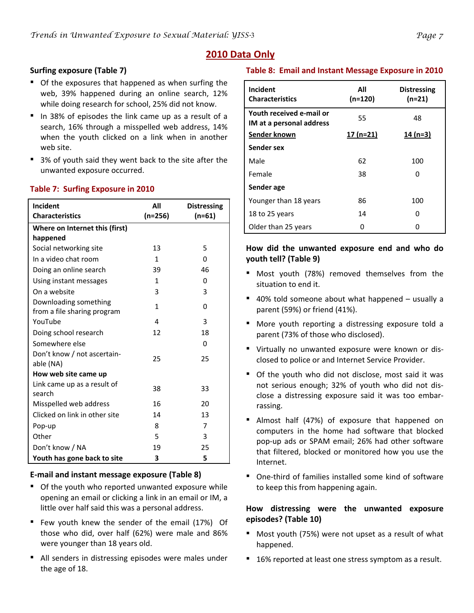## **2010 Data Only**

### **Surfing exposure (Table 7)**

- Of the exposures that happened as when surfing the web, 39% happened during an online search, 12% while doing research for school, 25% did not know.
- In 38% of episodes the link came up as a result of a search, 16% through a misspelled web address, 14% when the youth clicked on a link when in another web site.
- 3% of youth said they went back to the site after the unwanted exposure occurred.

| Incident<br><b>Characteristics</b> | All<br>$(n=256)$ | <b>Distressing</b><br>$(n=61)$ |
|------------------------------------|------------------|--------------------------------|
| Where on Internet this (first)     |                  |                                |
| happened                           |                  |                                |
| Social networking site             | 13               | 5                              |
| In a video chat room               | 1                | 0                              |
| Doing an online search             | 39               | 46                             |
| Using instant messages             | 1                | 0                              |
| On a website                       | 3                | 3                              |
| Downloading something              | 1                | 0                              |
| from a file sharing program        |                  |                                |
| YouTube                            | 4                | 3                              |
| Doing school research              | 12               | 18                             |
| Somewhere else                     |                  | $\Omega$                       |
| Don't know / not ascertain-        | 25               | 25                             |
| able (NA)                          |                  |                                |
| How web site came up               |                  |                                |
| Link came up as a result of        | 38               | 33                             |
| search                             |                  |                                |
| Misspelled web address             | 16               | 20                             |
| Clicked on link in other site      | 14               | 13                             |
| Pop-up                             | 8                | 7                              |
| Other                              | 5                | 3                              |
| Don't know / NA                    | 19               | 25                             |
| Youth has gone back to site        | 3                | 5                              |

#### **Table 7: Surfing Exposure in 2010**

#### **E‐mail and instant message exposure (Table 8)**

- Of the youth who reported unwanted exposure while opening an email or clicking a link in an email or IM, a little over half said this was a personal address.
- Few youth knew the sender of the email (17%) Of those who did, over half (62%) were male and 86% were younger than 18 years old.
- All senders in distressing episodes were males under the age of 18.

#### **Table 8: Email and Instant Message Exposure in 2010**

| Incident<br><b>Characteristics</b>                   | All<br>$(n=120)$ | <b>Distressing</b><br>$(n=21)$ |
|------------------------------------------------------|------------------|--------------------------------|
| Youth received e-mail or<br>IM at a personal address | 55               | 48                             |
| Sender known                                         | 17 (n=21)        | $14(n=3)$                      |
| Sender sex                                           |                  |                                |
| Male                                                 | 62               | 100                            |
| Female                                               | 38               | O                              |
| Sender age                                           |                  |                                |
| Younger than 18 years                                | 86               | 100                            |
| 18 to 25 years                                       | 14               | ŋ                              |
| Older than 25 years                                  |                  |                                |

#### **How did the unwanted exposure end and who do youth tell? (Table 9)**

- Most youth (78%) removed themselves from the situation to end it.
- 40% told someone about what happened usually a parent (59%) or friend (41%).
- More youth reporting a distressing exposure told a parent (73% of those who disclosed).
- Virtually no unwanted exposure were known or disclosed to police or and Internet Service Provider.
- Of the youth who did not disclose, most said it was not serious enough; 32% of youth who did not dis‐ close a distressing exposure said it was too embar‐ rassing.
- Almost half (47%) of exposure that happened on computers in the home had software that blocked pop‐up ads or SPAM email; 26% had other software that filtered, blocked or monitored how you use the Internet.
- One-third of families installed some kind of software to keep this from happening again.

#### **How distressing were the unwanted exposure episodes? (Table 10)**

- Most youth (75%) were not upset as a result of what happened.
- 16% reported at least one stress symptom as a result.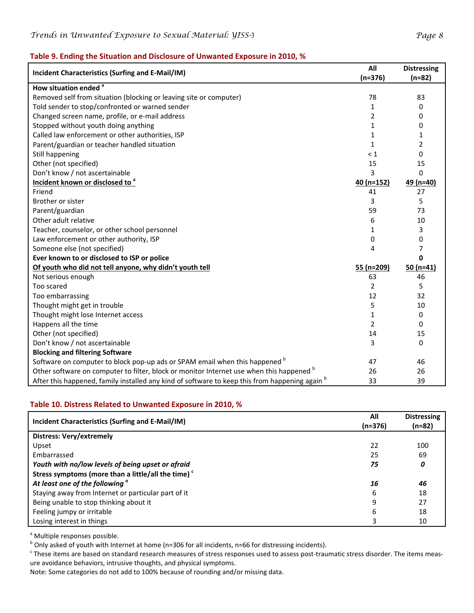#### **Table 9. Ending the Situation and Disclosure of Unwanted Exposure in 2010, %**

| Incident Characteristics (Surfing and E-Mail/IM)                                               |              | <b>Distressing</b> |
|------------------------------------------------------------------------------------------------|--------------|--------------------|
|                                                                                                | $(n=376)$    | $(n=82)$           |
| How situation ended <sup>a</sup>                                                               |              |                    |
| Removed self from situation (blocking or leaving site or computer)                             | 78           | 83                 |
| Told sender to stop/confronted or warned sender                                                | 1            | 0                  |
| Changed screen name, profile, or e-mail address                                                | 2            | 0                  |
| Stopped without youth doing anything                                                           | 1            | 0                  |
| Called law enforcement or other authorities, ISP                                               | 1            | 1                  |
| Parent/guardian or teacher handled situation                                                   | $\mathbf{1}$ | $\overline{2}$     |
| Still happening                                                                                | < 1          | $\Omega$           |
| Other (not specified)                                                                          | 15           | 15                 |
| Don't know / not ascertainable                                                                 | 3            | $\Omega$           |
| Incident known or disclosed to <sup>a</sup>                                                    | 40 (n=152)   | 49 (n=40)          |
| Friend                                                                                         | 41           | 27                 |
| Brother or sister                                                                              | 3            | 5                  |
| Parent/guardian                                                                                | 59           | 73                 |
| Other adult relative                                                                           | 6            | 10                 |
| Teacher, counselor, or other school personnel                                                  | 1            | 3                  |
| Law enforcement or other authority, ISP                                                        | 0            | 0                  |
| Someone else (not specified)                                                                   | 4            | $\overline{7}$     |
| Ever known to or disclosed to ISP or police                                                    |              | $\mathbf 0$        |
| Of youth who did not tell anyone, why didn't youth tell                                        | $55 (n=209)$ | 50 $(n=41)$        |
| Not serious enough                                                                             | 63           | 46                 |
| Too scared                                                                                     | 2            | 5                  |
| Too embarrassing                                                                               | 12           | 32                 |
| Thought might get in trouble                                                                   | 5            | 10                 |
| Thought might lose Internet access                                                             | 1            | 0                  |
| Happens all the time                                                                           | 2            | 0                  |
| Other (not specified)                                                                          | 14           | 15                 |
| Don't know / not ascertainable                                                                 | 3            | 0                  |
| <b>Blocking and filtering Software</b>                                                         |              |                    |
| Software on computer to block pop-up ads or SPAM email when this happened b                    | 47           | 46                 |
| Other software on computer to filter, block or monitor Internet use when this happened b       | 26           | 26                 |
| After this happened, family installed any kind of software to keep this from happening again b | 33           | 39                 |

#### **Table 10. Distress Related to Unwanted Exposure in 2010, %**

| Incident Characteristics (Surfing and E-Mail/IM)               | All<br>(n=376) | <b>Distressing</b><br>(n=82) |
|----------------------------------------------------------------|----------------|------------------------------|
| <b>Distress: Very/extremely</b>                                |                |                              |
| Upset                                                          | 22             | 100                          |
| Embarrassed                                                    | 25             | 69                           |
| Youth with no/low levels of being upset or afraid              | 75             | 0                            |
| Stress symptoms (more than a little/all the time) <sup>c</sup> |                |                              |
| At least one of the following <sup>a</sup>                     | 16             | 46                           |
| Staying away from Internet or particular part of it            | 6              | 18                           |
| Being unable to stop thinking about it                         | 9              | 27                           |
| Feeling jumpy or irritable                                     | 6              | 18                           |
| Losing interest in things                                      | 3              | 10                           |

<sup>a</sup> Multiple responses possible.

 $b$  Only asked of youth with Internet at home (n=306 for all incidents, n=66 for distressing incidents).

 $c$  These items are based on standard research measures of stress responses used to assess post-traumatic stress disorder. The items measure avoidance behaviors, intrusive thoughts, and physical symptoms.

Note: Some categories do not add to 100% because of rounding and/or missing data.